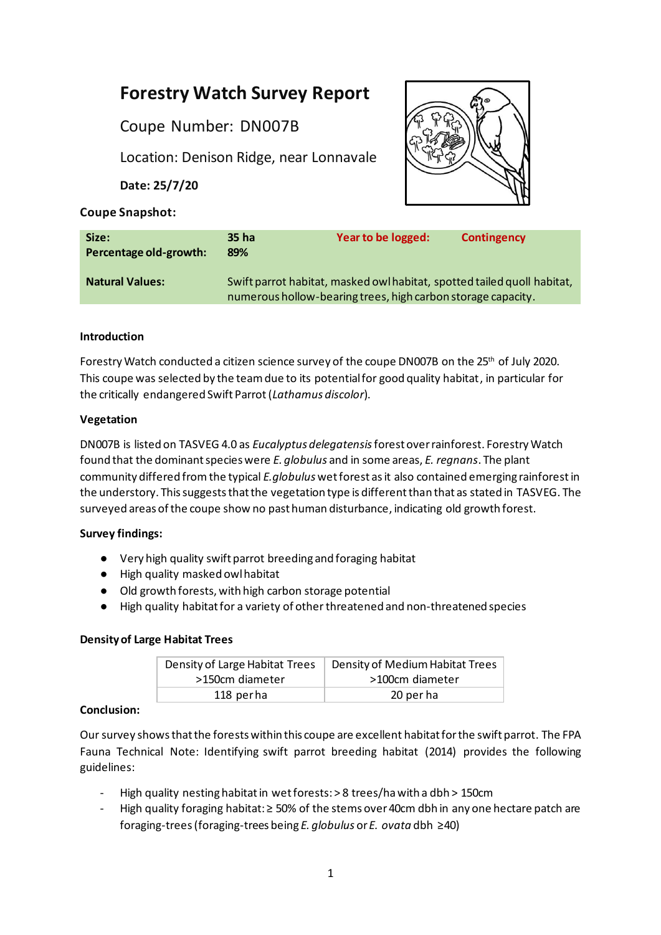# **Forestry Watch Survey Report**

Coupe Number: DN007B

Location: Denison Ridge, near Lonnavale

**Date: 25/7/20**



# **Coupe Snapshot:**

| Size:<br>Percentage old-growth: | 35 ha<br>89%                                                                                                                            | Year to be logged: | <b>Contingency</b> |
|---------------------------------|-----------------------------------------------------------------------------------------------------------------------------------------|--------------------|--------------------|
| <b>Natural Values:</b>          | Swift parrot habitat, masked owl habitat, spotted tailed quoll habitat,<br>numerous hollow-bearing trees, high carbon storage capacity. |                    |                    |

# **Introduction**

Forestry Watch conducted a citizen science survey of the coupe DN007B on the 25<sup>th</sup> of July 2020. This coupe was selected by the team due to its potential for good quality habitat, in particular for the critically endangered Swift Parrot(*Lathamus discolor*).

# **Vegetation**

DN007B is listed on TASVEG 4.0 as *Eucalyptus delegatensis*forest over rainforest. Forestry Watch found that the dominant species were *E. globulus* and in some areas, *E. regnans*. The plant community differed from the typical *E.globulus* wet forest as it also contained emerging rainforestin the understory. This suggests that the vegetation type is different than that as stated in TASVEG. The surveyed areas of the coupe show no past human disturbance, indicating old growth forest.

# **Survey findings:**

- Very high quality swift parrot breeding and foraging habitat
- High quality masked owl habitat
- Old growth forests, with high carbon storage potential
- High quality habitat for a variety of otherthreatened and non-threatened species

# **Density of Large Habitat Trees**

| Density of Large Habitat Trees | Density of Medium Habitat Trees |  |
|--------------------------------|---------------------------------|--|
| >150cm diameter                | >100cm diameter                 |  |
| 118 perha                      | 20 per ha                       |  |

# **Conclusion:**

Our survey shows that the forests within this coupe are excellent habitat for the swift parrot. The FPA Fauna Technical Note: Identifying swift parrot breeding habitat (2014) provides the following guidelines:

- High quality nesting habitat in wet forests: > 8 trees/ha with a dbh > 150cm
- High quality foraging habitat:  $\geq$  50% of the stems over 40cm dbh in any one hectare patch are foraging-trees(foraging-trees being *E. globulus* or *E. ovata* dbh ≥40)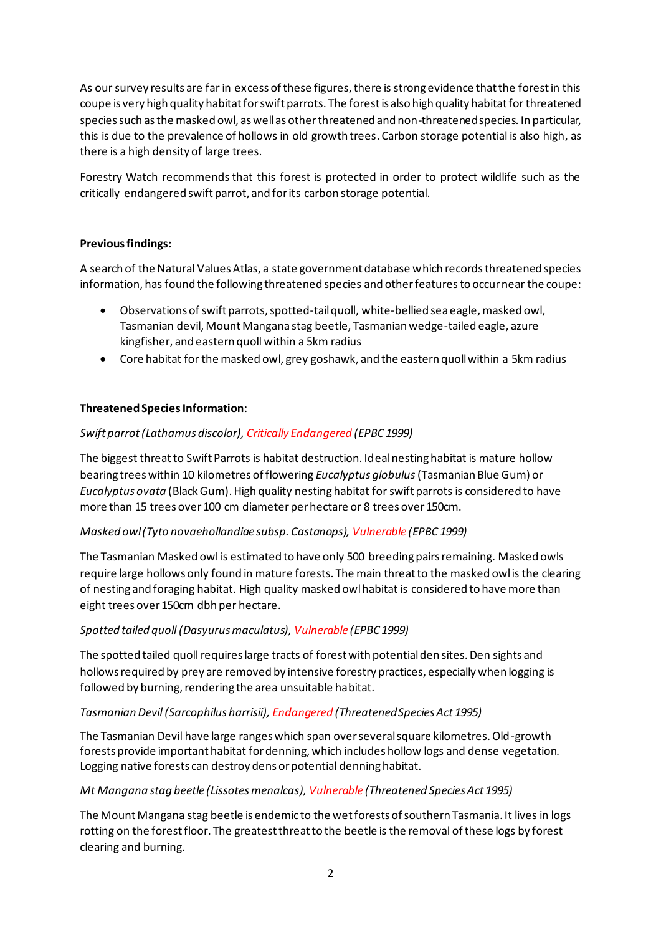As our survey results are far in excess of these figures, there is strong evidence that the forest in this coupe is very high quality habitat forswift parrots. The forest is also high quality habitat for threatened species such as the masked owl, as well as other threatened and non-threatened species. In particular, this is due to the prevalence of hollows in old growth trees. Carbon storage potential is also high, as there is a high density of large trees.

Forestry Watch recommends that this forest is protected in order to protect wildlife such as the critically endangered swift parrot, and for its carbon storage potential.

## **Previous findings:**

A search of the Natural Values Atlas, a state government database which records threatened species information, has found the following threatened species and other features to occur near the coupe:

- Observations ofswift parrots, spotted-tail quoll, white-bellied sea eagle, masked owl, Tasmanian devil, Mount Mangana stag beetle, Tasmanian wedge-tailed eagle, azure kingfisher, and eastern quoll within a 5km radius
- Core habitat for the masked owl, grey goshawk, and the eastern quoll within a 5km radius

## **Threatened Species Information**:

## *Swift parrot (Lathamus discolor), Critically Endangered (EPBC 1999)*

The biggest threat to Swift Parrots is habitat destruction. Ideal nesting habitat is mature hollow bearing trees within 10 kilometres of flowering *Eucalyptus globulus*(Tasmanian Blue Gum) or *Eucalyptus ovata* (Black Gum). High quality nesting habitat for swift parrots is considered to have more than 15 trees over 100 cm diameter per hectare or 8 trees over 150cm.

## *Masked owl (Tyto novaehollandiae subsp. Castanops), Vulnerable (EPBC 1999)*

The Tasmanian Masked owl is estimated to have only 500 breeding pairs remaining. Masked owls require large hollows only found in mature forests. The main threat to the masked owl is the clearing of nesting and foraging habitat. High quality masked owl habitat is considered to have more than eight trees over 150cm dbh per hectare.

## *Spotted tailed quoll (Dasyurus maculatus), Vulnerable (EPBC 1999)*

The spotted tailed quoll requires large tracts of forest with potential den sites. Den sights and hollows required by prey are removed by intensive forestry practices, especially when logging is followed by burning, rendering the area unsuitable habitat.

## *Tasmanian Devil (Sarcophilus harrisii), Endangered (Threatened Species Act 1995)*

The Tasmanian Devil have large ranges which span over several square kilometres. Old-growth forests provide important habitat for denning, which includes hollow logs and dense vegetation. Logging native forests can destroy dens or potential denning habitat.

## *Mt Mangana stag beetle (Lissotes menalcas), Vulnerable (Threatened Species Act 1995)*

The Mount Mangana stag beetle is endemic to the wet forests of southern Tasmania. It lives in logs rotting on the forest floor. The greatest threat to the beetle is the removal of these logs by forest clearing and burning.